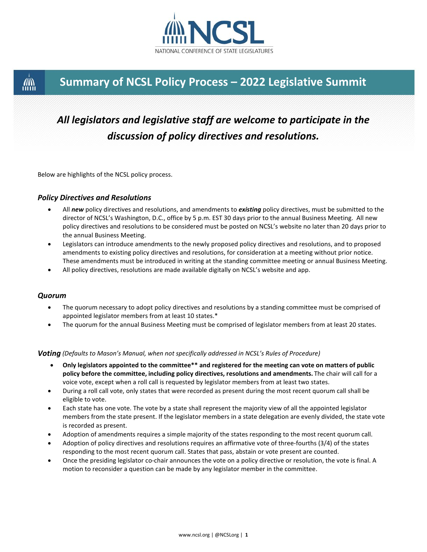

## **Summary of NCSL Policy Process – 2022 Legislative Summit**

# *All legislators and legislative staff are welcome to participate in the discussion of policy directives and resolutions.*

Below are highlights of the NCSL policy process.

#### *Policy Directives and Resolutions*

- All *new* policy directives and resolutions, and amendments to *existing* policy directives, must be submitted to the director of NCSL's Washington, D.C., office by 5 p.m. EST 30 days prior to the annual Business Meeting. All new policy directives and resolutions to be considered must be posted on NCSL's website no later than 20 days prior to the annual Business Meeting.
- Legislators can introduce amendments to the newly proposed policy directives and resolutions, and to proposed amendments to existing policy directives and resolutions, for consideration at a meeting without prior notice. These amendments must be introduced in writing at the standing committee meeting or annual Business Meeting.
- All policy directives, resolutions are made available digitally on NCSL's website and app.

#### *Quorum*

**AN** 

- The quorum necessary to adopt policy directives and resolutions by a standing committee must be comprised of appointed legislator members from at least 10 states.\*
- The quorum for the annual Business Meeting must be comprised of legislator members from at least 20 states.

#### *Voting (Defaults to Mason's Manual, when not specifically addressed in NCSL's Rules of Procedure)*

- **Only legislators appointed to the committee\*\* and registered for the meeting can vote on matters of public policy before the committee, including policy directives, resolutions and amendments.** The chair will call for a voice vote, except when a roll call is requested by legislator members from at least two states.
- During a roll call vote, only states that were recorded as present during the most recent quorum call shall be eligible to vote.
- Each state has one vote. The vote by a state shall represent the majority view of all the appointed legislator members from the state present. If the legislator members in a state delegation are evenly divided, the state vote is recorded as present.
- Adoption of amendments requires a simple majority of the states responding to the most recent quorum call.
- Adoption of policy directives and resolutions requires an affirmative vote of three-fourths (3/4) of the states responding to the most recent quorum call. States that pass, abstain or vote present are counted.
- Once the presiding legislator co-chair announces the vote on a policy directive or resolution, the vote is final. A motion to reconsider a question can be made by any legislator member in the committee.